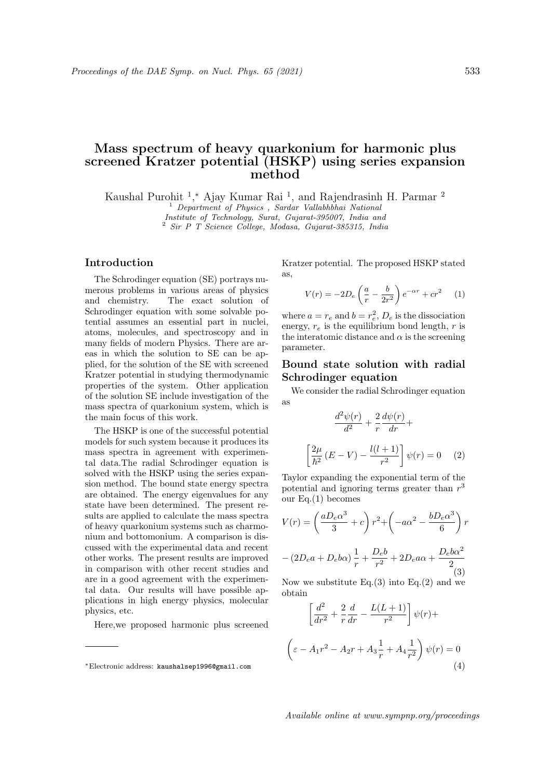# Mass spectrum of heavy quarkonium for harmonic plus screened Kratzer potential (HSKP) using series expansion method

Kaushal Purohit<sup>1</sup>,\* Ajay Kumar Rai<sup>1</sup>, and Rajendrasinh H. Parmar<sup>2</sup>

<sup>1</sup> Department of Physics , Sardar Vallabhbhai National Institute of Technology, Surat, Gujarat-395007, India and

<sup>2</sup> Sir P T Science College, Modasa, Gujarat-385315, India

#### Introduction

The Schrodinger equation (SE) portrays numerous problems in various areas of physics and chemistry. The exact solution of Schrodinger equation with some solvable potential assumes an essential part in nuclei, atoms, molecules, and spectroscopy and in many fields of modern Physics. There are areas in which the solution to SE can be applied, for the solution of the SE with screened Kratzer potential in studying thermodynamic properties of the system. Other application of the solution SE include investigation of the mass spectra of quarkonium system, which is the main focus of this work.

The HSKP is one of the successful potential models for such system because it produces its mass spectra in agreement with experimental data.The radial Schrodinger equation is solved with the HSKP using the series expansion method. The bound state energy spectra are obtained. The energy eigenvalues for any state have been determined. The present results are applied to calculate the mass spectra of heavy quarkonium systems such as charmonium and bottomonium. A comparison is discussed with the experimental data and recent other works. The present results are improved in comparison with other recent studies and are in a good agreement with the experimental data. Our results will have possible applications in high energy physics, molecular physics, etc.

Here,we proposed harmonic plus screened

Kratzer potential. The proposed HSKP stated as,

$$
V(r) = -2D_e \left(\frac{a}{r} - \frac{b}{2r^2}\right) e^{-\alpha r} + cr^2 \qquad (1)
$$

where  $a = r_e$  and  $b = r_e^2$ ,  $D_e$  is the dissociation energy,  $r_e$  is the equilibrium bond length, r is the interatomic distance and  $\alpha$  is the screening parameter.

## Bound state solution with radial Schrodinger equation

We consider the radial Schrodinger equation as

$$
\frac{d^2\psi(r)}{d^2} + \frac{2}{r}\frac{d\psi(r)}{dr} +
$$

$$
\left[\frac{2\mu}{\hbar^2}(E-V) - \frac{l(l+1)}{r^2}\right]\psi(r) = 0 \quad (2)
$$

Taylor expanding the exponential term of the potential and ignoring terms greater than  $r<sup>3</sup>$ our Eq.(1) becomes

$$
V(r) = \left(\frac{aD_e\alpha^3}{3} + c\right)r^2 + \left(-a\alpha^2 - \frac{bD_e\alpha^3}{6}\right)r
$$

$$
-(2D_e a + D_e b\alpha)\frac{1}{r} + \frac{D_e b}{r^2} + 2D_e a\alpha + \frac{D_e b\alpha^2}{2}
$$
(3)

Now we substitute Eq.(3) into Eq.(2) and we obtain

$$
\left[\frac{d^2}{dr^2} + \frac{2}{r}\frac{d}{dr} - \frac{L(L+1)}{r^2}\right]\psi(r) +
$$
  

$$
\left(\varepsilon - A_1r^2 - A_2r + A_3\frac{1}{r} + A_4\frac{1}{r^2}\right)\psi(r) = 0
$$
  
(4)

<sup>∗</sup>Electronic address: kaushalsep1996@gmail.com